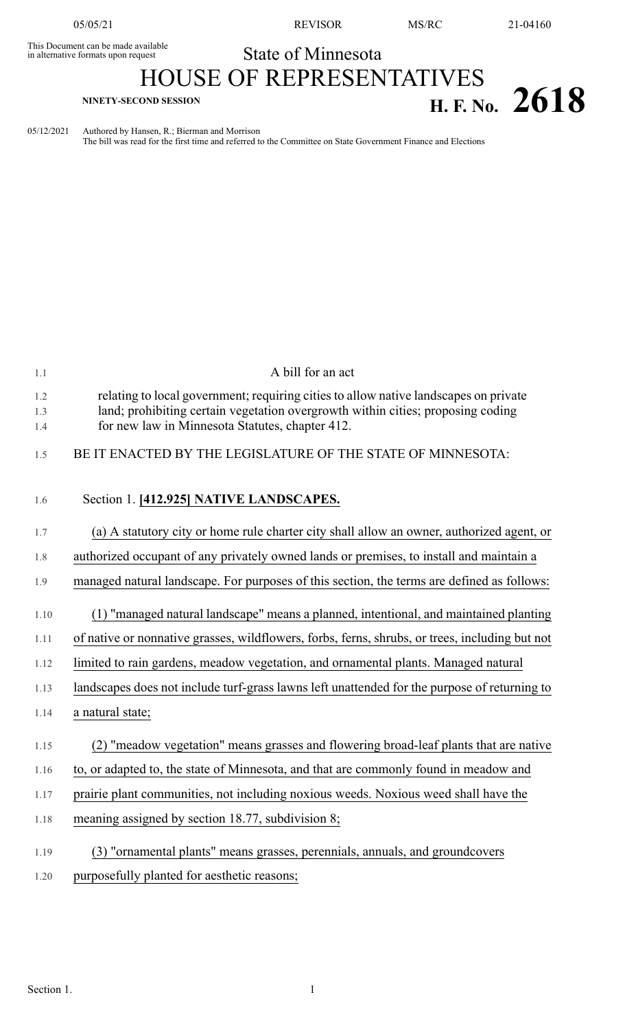This Document can be made available<br>in alternative formats upon request

05/05/21 REVISOR MS/RC 21-04160

## State of Minnesota HOUSE OF REPRESENTATIVES

## **H. F. No.** 2618

05/12/2021 Authored by Hansen, R.; Bierman and Morrison

The bill was read for the first time and referred to the Committee on State Government Finance and Elections

| A bill for an act                                                                                                                                                                                                          |
|----------------------------------------------------------------------------------------------------------------------------------------------------------------------------------------------------------------------------|
| relating to local government; requiring cities to allow native landscapes on private<br>land; prohibiting certain vegetation overgrowth within cities; proposing coding<br>for new law in Minnesota Statutes, chapter 412. |
| BE IT ENACTED BY THE LEGISLATURE OF THE STATE OF MINNESOTA:                                                                                                                                                                |
| Section 1. [412.925] NATIVE LANDSCAPES.                                                                                                                                                                                    |
| (a) A statutory city or home rule charter city shall allow an owner, authorized agent, or                                                                                                                                  |
| authorized occupant of any privately owned lands or premises, to install and maintain a                                                                                                                                    |
| managed natural landscape. For purposes of this section, the terms are defined as follows:                                                                                                                                 |
| (1) "managed natural landscape" means a planned, intentional, and maintained planting                                                                                                                                      |
| of native or nonnative grasses, wildflowers, forbs, ferns, shrubs, or trees, including but not                                                                                                                             |
| limited to rain gardens, meadow vegetation, and ornamental plants. Managed natural                                                                                                                                         |
| landscapes does not include turf-grass lawns left unattended for the purpose of returning to                                                                                                                               |
| a natural state;                                                                                                                                                                                                           |
| (2) "meadow vegetation" means grasses and flowering broad-leaf plants that are native                                                                                                                                      |
| to, or adapted to, the state of Minnesota, and that are commonly found in meadow and                                                                                                                                       |
| prairie plant communities, not including noxious weeds. Noxious weed shall have the                                                                                                                                        |
| meaning assigned by section 18.77, subdivision 8;                                                                                                                                                                          |
| (3) "ornamental plants" means grasses, perennials, annuals, and groundcovers                                                                                                                                               |
| purposefully planted for aesthetic reasons;                                                                                                                                                                                |
|                                                                                                                                                                                                                            |